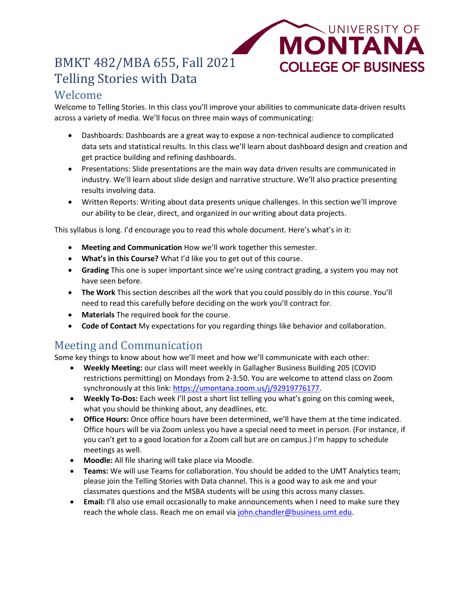# BMKT 482/MBA 655, Fall 2021 Telling Stories with Data

### Welcome

Welcome to Telling Stories. In this class you'll improve your abilities to communicate data-driven results across a variety of media. We'll focus on three main ways of communicating:

• Dashboards: Dashboards are a great way to expose a non-technical audience to complicated data sets and statistical results. In this class we'll learn about dashboard design and creation and get practice building and refining dashboards.

UNIVERSITY OF

**MONTANA** 

**COLLEGE OF BUSINESS** 

- Presentations: Slide presentations are the main way data driven results are communicated in industry. We'll learn about slide design and narrative structure. We'll also practice presenting results involving data.
- Written Reports: Writing about data presents unique challenges. In this section we'll improve our ability to be clear, direct, and organized in our writing about data projects.

This syllabus is long. I'd encourage you to read this whole document. Here's what's in it:

- **Meeting and Communication** How we'll work together this semester.
- **What's in this Course?** What I'd like you to get out of this course.
- **Grading** This one is super important since we're using contract grading, a system you may not have seen before.
- **The Work** This section describes all the work that you could possibly do in this course. You'll need to read this carefully before deciding on the work you'll contract for.
- **Materials** The required book for the course.
- **Code of Contact** My expectations for you regarding things like behavior and collaboration.

## Meeting and Communication

Some key things to know about how we'll meet and how we'll communicate with each other:

- **Weekly Meeting:** our class will meet weekly in Gallagher Business Building 205 (COVID restrictions permitting) on Mondays from 2-3:50. You are welcome to attend class on Zoom synchronously at this link: [https://umontana.zoom.us/j/92919776177.](https://umontana.zoom.us/j/92919776177)
- **Weekly To-Dos:** Each week I'll post a short list telling you what's going on this coming week, what you should be thinking about, any deadlines, etc.
- **Office Hours:** Once office hours have been determined, we'll have them at the time indicated. Office hours will be via Zoom unless you have a special need to meet in person. (For instance, if you can't get to a good location for a Zoom call but are on campus.) I'm happy to schedule meetings as well.
- **Moodle:** All file sharing will take place via Moodle.
- **Teams:** We will use Teams for collaboration. You should be added to the UMT Analytics team; please join the Telling Stories with Data channel. This is a good way to ask me and your classmates questions and the MSBA students will be using this across many classes.
- **Email:** I'll also use email occasionally to make announcements when I need to make sure they reach the whole class. Reach me on email vi[a john.chandler@business.umt.edu.](mailto:john.chandler@business.umt.edu)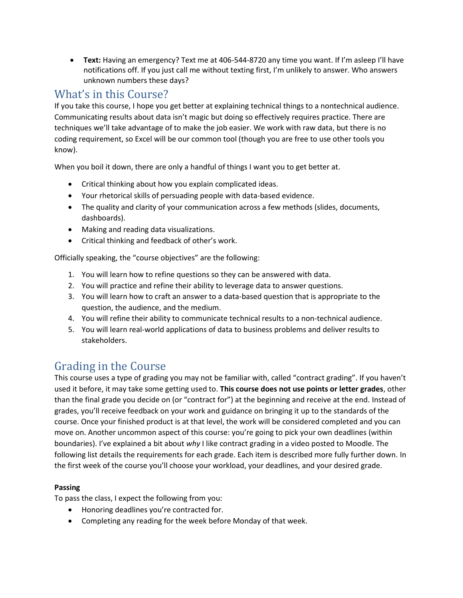• **Text:** Having an emergency? Text me at 406-544-8720 any time you want. If I'm asleep I'll have notifications off. If you just call me without texting first, I'm unlikely to answer. Who answers unknown numbers these days?

## What's in this Course?

If you take this course, I hope you get better at explaining technical things to a nontechnical audience. Communicating results about data isn't magic but doing so effectively requires practice. There are techniques we'll take advantage of to make the job easier. We work with raw data, but there is no coding requirement, so Excel will be our common tool (though you are free to use other tools you know).

When you boil it down, there are only a handful of things I want you to get better at.

- Critical thinking about how you explain complicated ideas.
- Your rhetorical skills of persuading people with data-based evidence.
- The quality and clarity of your communication across a few methods (slides, documents, dashboards).
- Making and reading data visualizations.
- Critical thinking and feedback of other's work.

Officially speaking, the "course objectives" are the following:

- 1. You will learn how to refine questions so they can be answered with data.
- 2. You will practice and refine their ability to leverage data to answer questions.
- 3. You will learn how to craft an answer to a data-based question that is appropriate to the question, the audience, and the medium.
- 4. You will refine their ability to communicate technical results to a non-technical audience.
- 5. You will learn real-world applications of data to business problems and deliver results to stakeholders.

## Grading in the Course

This course uses a type of grading you may not be familiar with, called "contract grading". If you haven't used it before, it may take some getting used to. **This course does not use points or letter grades**, other than the final grade you decide on (or "contract for") at the beginning and receive at the end. Instead of grades, you'll receive feedback on your work and guidance on bringing it up to the standards of the course. Once your finished product is at that level, the work will be considered completed and you can move on. Another uncommon aspect of this course: you're going to pick your own deadlines (within boundaries). I've explained a bit about *why* I like contract grading in a video posted to Moodle. The following list details the requirements for each grade. Each item is described more fully further down. In the first week of the course you'll choose your workload, your deadlines, and your desired grade.

#### **Passing**

To pass the class, I expect the following from you:

- Honoring deadlines you're contracted for.
- Completing any reading for the week before Monday of that week.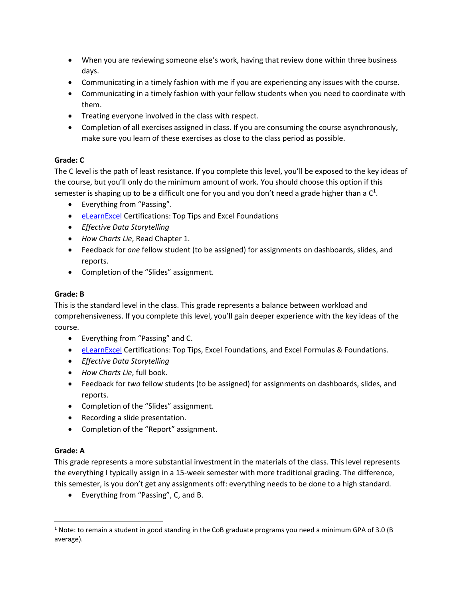- When you are reviewing someone else's work, having that review done within three business days.
- Communicating in a timely fashion with me if you are experiencing any issues with the course.
- Communicating in a timely fashion with your fellow students when you need to coordinate with them.
- Treating everyone involved in the class with respect.
- Completion of all exercises assigned in class. If you are consuming the course asynchronously, make sure you learn of these exercises as close to the class period as possible.

#### **Grade: C**

The C level is the path of least resistance. If you complete this level, you'll be exposed to the key ideas of the course, but you'll only do the minimum amount of work. You should choose this option if this semester is shaping up to be a difficult one for you and you don't need a grade higher than a  $C^1$ .

- Everything from "Passing".
- [eLearnExcel](https://www.elearnexcel.com/) Certifications: Top Tips and Excel Foundations
- *Effective Data Storytelling*
- *How Charts Lie*, Read Chapter 1.
- Feedback for *one* fellow student (to be assigned) for assignments on dashboards, slides, and reports.
- Completion of the "Slides" assignment.

#### **Grade: B**

This is the standard level in the class. This grade represents a balance between workload and comprehensiveness. If you complete this level, you'll gain deeper experience with the key ideas of the course.

- Everything from "Passing" and C.
- [eLearnExcel](https://www.elearnexcel.com/) Certifications: Top Tips, Excel Foundations, and Excel Formulas & Foundations.
- *Effective Data Storytelling*
- *How Charts Lie*, full book.
- Feedback for *two* fellow students (to be assigned) for assignments on dashboards, slides, and reports.
- Completion of the "Slides" assignment.
- Recording a slide presentation.
- Completion of the "Report" assignment.

#### **Grade: A**

 $\overline{\phantom{a}}$ 

This grade represents a more substantial investment in the materials of the class. This level represents the everything I typically assign in a 15-week semester with more traditional grading. The difference, this semester, is you don't get any assignments off: everything needs to be done to a high standard.

• Everything from "Passing", C, and B.

<sup>&</sup>lt;sup>1</sup> Note: to remain a student in good standing in the CoB graduate programs you need a minimum GPA of 3.0 (B average).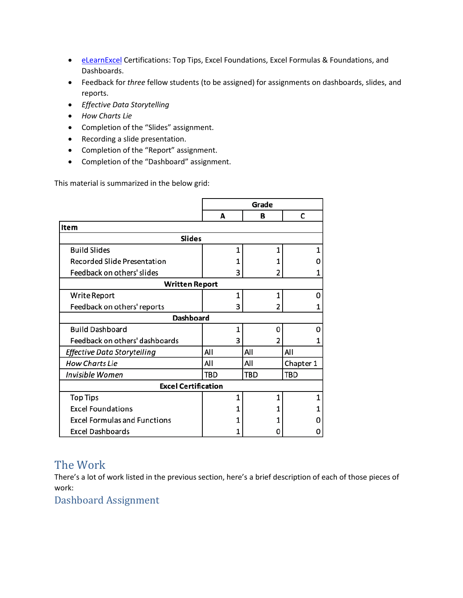- [eLearnExcel](https://www.elearnexcel.com/) Certifications: Top Tips, Excel Foundations, Excel Formulas & Foundations, and Dashboards.
- Feedback for *three* fellow students (to be assigned) for assignments on dashboards, slides, and reports.
- *Effective Data Storytelling*
- *How Charts Lie*
- Completion of the "Slides" assignment.
- Recording a slide presentation.
- Completion of the "Report" assignment.
- Completion of the "Dashboard" assignment.

This material is summarized in the below grid:

|                                     | Grade |     |           |
|-------------------------------------|-------|-----|-----------|
|                                     | A     | в   | C         |
| <b>Item</b>                         |       |     |           |
| <b>Slides</b>                       |       |     |           |
| <b>Build Slides</b>                 | 1     | 1   |           |
| Recorded Slide Presentation         | 1     |     |           |
| Feedback on others' slides          | 3     | 2   |           |
| <b>Written Report</b>               |       |     |           |
| Write Report                        | 1     | 1   | 0         |
| Feedback on others' reports         | 3     | 2   |           |
| <b>Dashboard</b>                    |       |     |           |
| <b>Build Dashboard</b>              | 1     | o   | O         |
| Feedback on others' dashboards      | 3     | 2   |           |
| Effective Data Storytelling         | All   | All | All       |
| <b>How Charts Lie</b>               | All   | All | Chapter 1 |
| <b>Invisible Women</b>              | TBD   | TBD | TBD       |
| <b>Excel Certification</b>          |       |     |           |
| <b>Top Tips</b>                     | 1     | 1   | 1         |
| <b>Excel Foundations</b>            | 1     |     |           |
| <b>Excel Formulas and Functions</b> | 1     |     |           |
| <b>Excel Dashboards</b>             | 1     | O   |           |

## The Work

There's a lot of work listed in the previous section, here's a brief description of each of those pieces of work:

Dashboard Assignment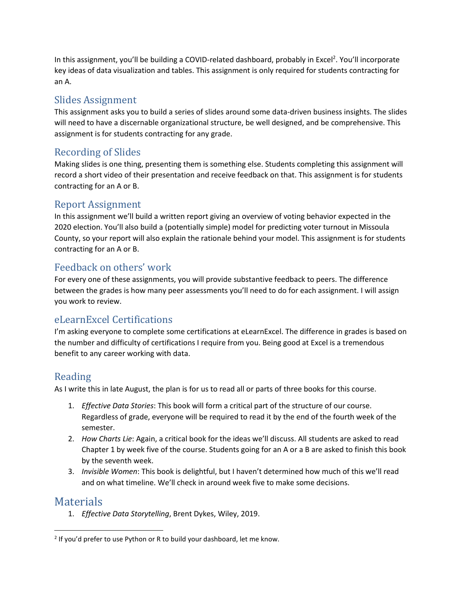In this assignment, you'll be building a COVID-related dashboard, probably in Excel<sup>2</sup>. You'll incorporate key ideas of data visualization and tables. This assignment is only required for students contracting for an A.

### Slides Assignment

This assignment asks you to build a series of slides around some data-driven business insights. The slides will need to have a discernable organizational structure, be well designed, and be comprehensive. This assignment is for students contracting for any grade.

### Recording of Slides

Making slides is one thing, presenting them is something else. Students completing this assignment will record a short video of their presentation and receive feedback on that. This assignment is for students contracting for an A or B.

### Report Assignment

In this assignment we'll build a written report giving an overview of voting behavior expected in the 2020 election. You'll also build a (potentially simple) model for predicting voter turnout in Missoula County, so your report will also explain the rationale behind your model. This assignment is for students contracting for an A or B.

### Feedback on others' work

For every one of these assignments, you will provide substantive feedback to peers. The difference between the grades is how many peer assessments you'll need to do for each assignment. I will assign you work to review.

### eLearnExcel Certifications

I'm asking everyone to complete some certifications at eLearnExcel. The difference in grades is based on the number and difficulty of certifications I require from you. Being good at Excel is a tremendous benefit to any career working with data.

### Reading

As I write this in late August, the plan is for us to read all or parts of three books for this course.

- 1. *Effective Data Stories*: This book will form a critical part of the structure of our course. Regardless of grade, everyone will be required to read it by the end of the fourth week of the semester.
- 2. *How Charts Lie*: Again, a critical book for the ideas we'll discuss. All students are asked to read Chapter 1 by week five of the course. Students going for an A or a B are asked to finish this book by the seventh week.
- 3. *Invisible Women*: This book is delightful, but I haven't determined how much of this we'll read and on what timeline. We'll check in around week five to make some decisions.

### Materials

 $\overline{\phantom{a}}$ 

1. *Effective Data Storytelling*, Brent Dykes, Wiley, 2019.

 $2$  If you'd prefer to use Python or R to build your dashboard, let me know.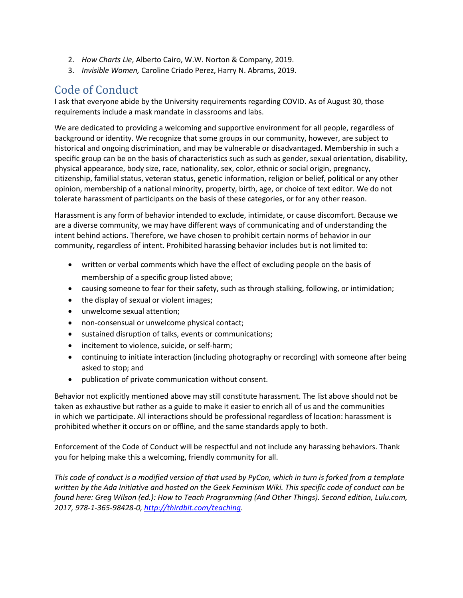- 2. *How Charts Lie*, Alberto Cairo, W.W. Norton & Company, 2019.
- 3. *Invisible Women,* Caroline Criado Perez, Harry N. Abrams, 2019.

## Code of Conduct

I ask that everyone abide by the University requirements regarding COVID. As of August 30, those requirements include a mask mandate in classrooms and labs.

We are dedicated to providing a welcoming and supportive environment for all people, regardless of background or identity. We recognize that some groups in our community, however, are subject to historical and ongoing discrimination, and may be vulnerable or disadvantaged. Membership in such a specific group can be on the basis of characteristics such as such as gender, sexual orientation, disability, physical appearance, body size, race, nationality, sex, color, ethnic or social origin, pregnancy, citizenship, familial status, veteran status, genetic information, religion or belief, political or any other opinion, membership of a national minority, property, birth, age, or choice of text editor. We do not tolerate harassment of participants on the basis of these categories, or for any other reason.

Harassment is any form of behavior intended to exclude, intimidate, or cause discomfort. Because we are a diverse community, we may have different ways of communicating and of understanding the intent behind actions. Therefore, we have chosen to prohibit certain norms of behavior in our community, regardless of intent. Prohibited harassing behavior includes but is not limited to:

- written or verbal comments which have the effect of excluding people on the basis of membership of a specific group listed above;
- causing someone to fear for their safety, such as through stalking, following, or intimidation;
- the display of sexual or violent images;
- unwelcome sexual attention;
- non-consensual or unwelcome physical contact;
- sustained disruption of talks, events or communications;
- incitement to violence, suicide, or self-harm;
- continuing to initiate interaction (including photography or recording) with someone after being asked to stop; and
- publication of private communication without consent.

Behavior not explicitly mentioned above may still constitute harassment. The list above should not be taken as exhaustive but rather as a guide to make it easier to enrich all of us and the communities in which we participate. All interactions should be professional regardless of location: harassment is prohibited whether it occurs on or offline, and the same standards apply to both.

Enforcement of the Code of Conduct will be respectful and not include any harassing behaviors. Thank you for helping make this a welcoming, friendly community for all.

*This code of conduct is a modified version of that used by PyCon, which in turn is forked from a template written by the Ada Initiative and hosted on the Geek Feminism Wiki. This specific code of conduct can be found here: Greg Wilson (ed.): How to Teach Programming (And Other Things). Second edition, Lulu.com, 2017, 978-1-365-98428-0[, http://thirdbit.com/teaching.](http://thirdbit.com/teaching)*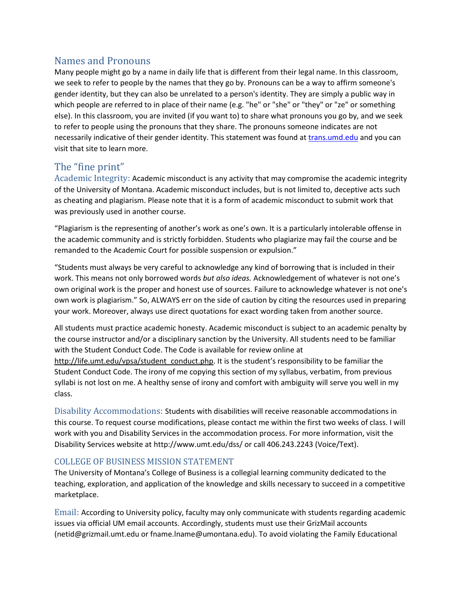### Names and Pronouns

Many people might go by a name in daily life that is different from their legal name. In this classroom, we seek to refer to people by the names that they go by. Pronouns can be a way to affirm someone's gender identity, but they can also be unrelated to a person's identity. They are simply a public way in which people are referred to in place of their name (e.g. "he" or "she" or "they" or "ze" or something else). In this classroom, you are invited (if you want to) to share what pronouns you go by, and we seek to refer to people using the pronouns that they share. The pronouns someone indicates are not necessarily indicative of their gender identity. This statement was found at [trans.umd.edu](file:///C:/Users/dawn.hambrick/Downloads/trans.umd.edu) and you can visit that site to learn more.

### The "fine print"

Academic Integrity: Academic misconduct is any activity that may compromise the academic integrity of the University of Montana. Academic misconduct includes, but is not limited to, deceptive acts such as cheating and plagiarism. Please note that it is a form of academic misconduct to submit work that was previously used in another course.

"Plagiarism is the representing of another's work as one's own. It is a particularly intolerable offense in the academic community and is strictly forbidden. Students who plagiarize may fail the course and be remanded to the Academic Court for possible suspension or expulsion."

"Students must always be very careful to acknowledge any kind of borrowing that is included in their work. This means not only borrowed words *but also ideas.* Acknowledgement of whatever is not one's own original work is the proper and honest use of sources. Failure to acknowledge whatever is not one's own work is plagiarism." So, ALWAYS err on the side of caution by citing the resources used in preparing your work. Moreover, always use direct quotations for exact wording taken from another source.

All students must practice academic honesty. Academic misconduct is subject to an academic penalty by the course instructor and/or a disciplinary sanction by the University. All students need to be familiar with the Student Conduct Code. The Code is available for review online at http://life.umt.edu/vpsa/student\_conduct.php. It is the student's responsibility to be familiar the Student Conduct Code. The irony of me copying this section of my syllabus, verbatim, from previous syllabi is not lost on me. A healthy sense of irony and comfort with ambiguity will serve you well in my class.

Disability Accommodations: Students with disabilities will receive reasonable accommodations in this course. To request course modifications, please contact me within the first two weeks of class. I will work with you and Disability Services in the accommodation process. For more information, visit the Disability Services website at<http://www.umt.edu/dss/> or call 406.243.2243 (Voice/Text).

#### COLLEGE OF BUSINESS MISSION STATEMENT

The University of Montana's College of Business is a collegial learning community dedicated to the teaching, exploration, and application of the knowledge and skills necessary to succeed in a competitive marketplace.

Email: According to University policy, faculty may only communicate with students regarding academic issues via official UM email accounts. Accordingly, students must use their GrizMail accounts [\(netid@grizmail.umt.edu](mailto:netid@grizmail.umt.edu) or [fname.lname@umontana.edu\)](mailto:fname.lname@umontana.edu). To avoid violating the Family Educational